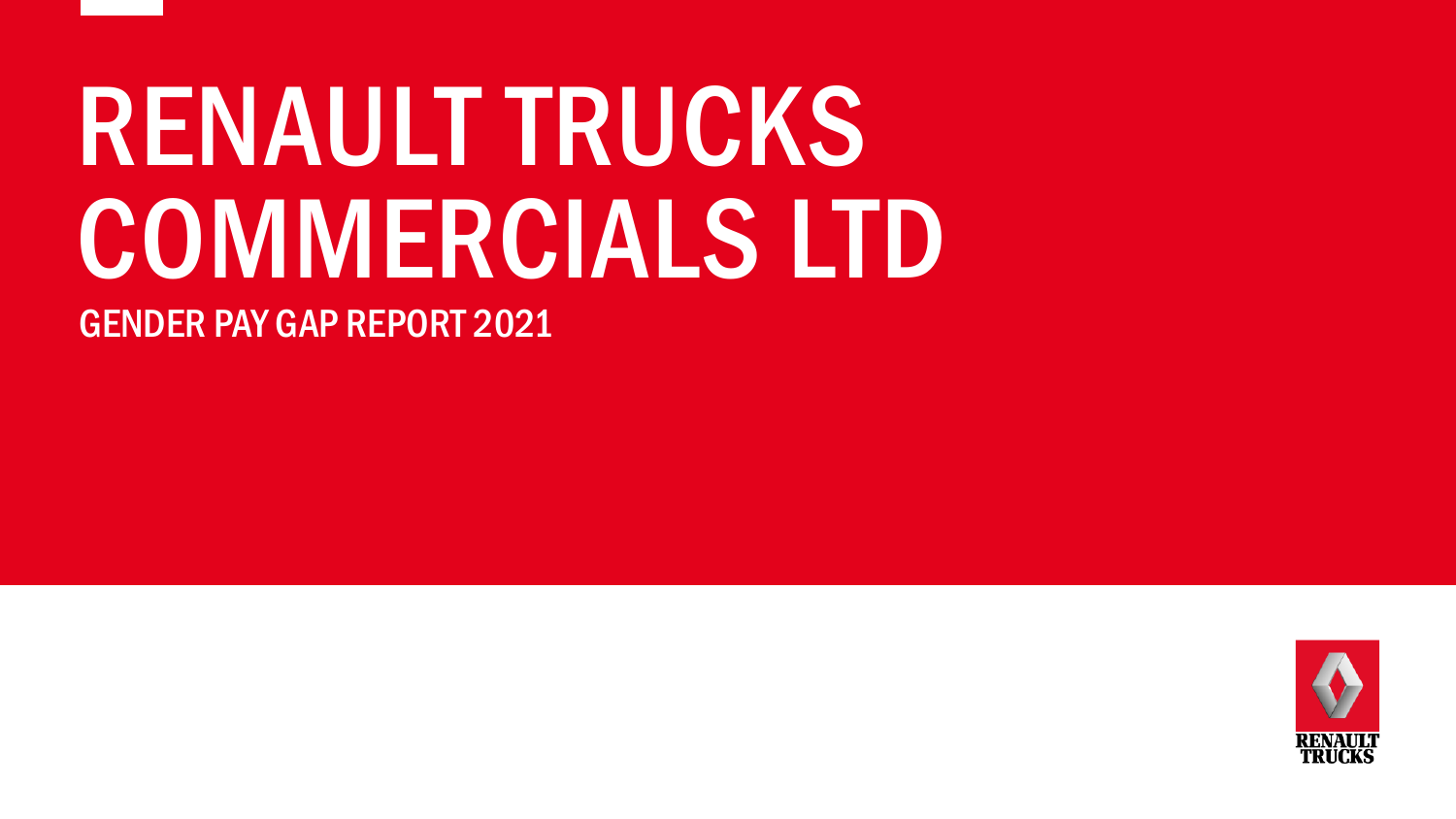# RENAULT TRUCKS COMMERCIALS LTD

GENDER PAY GAP REPORT 2021

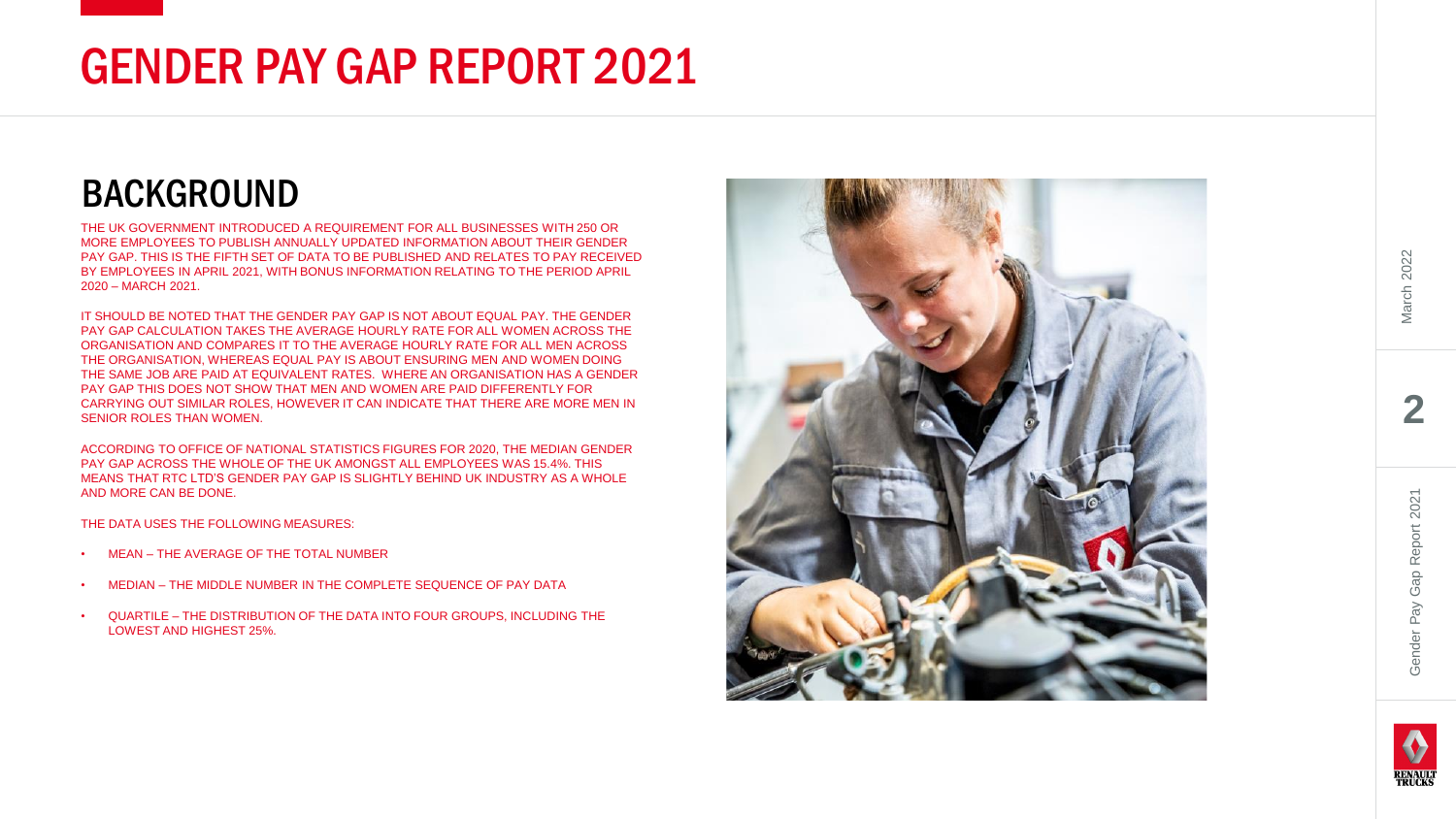## March 2022



#### BACKGROUND

THE UK GOVERNMENT INTRODUCED A REQUIREMENT FOR ALL BUSINESSES WITH 250 OR MORE EMPLOYEES TO PUBLISH ANNUALLY UPDATED INFORMATION ABOUT THEIR GENDER PAY GAP. THIS IS THE FIFTH SET OF DATA TO BE PUBLISHED AND RELATES TO PAY RECEIVED BY EMPLOYEES IN APRIL 2021, WITH BONUS INFORMATION RELATING TO THE PERIOD APRIL 2020 – MARCH 2021.

IT SHOULD BE NOTED THAT THE GENDER PAY GAP IS NOT ABOUT EQUAL PAY. THE GENDER PAY GAP CALCULATION TAKES THE AVERAGE HOURLY RATE FOR ALL WOMEN ACROSS THE ORGANISATION AND COMPARES IT TO THE AVERAGE HOURLY RATE FOR ALL MEN ACROSS THE ORGANISATION, WHEREAS EQUAL PAY IS ABOUT ENSURING MEN AND WOMEN DOING THE SAME JOB ARE PAID AT EQUIVALENT RATES. WHERE AN ORGANISATION HAS A GENDER PAY GAP THIS DOES NOT SHOW THAT MEN AND WOMEN ARE PAID DIFFERENTLY FOR CARRYING OUT SIMILAR ROLES, HOWEVER IT CAN INDICATE THAT THERE ARE MORE MEN IN SENIOR ROLES THAN WOMEN.

ACCORDING TO OFFICE OF NATIONAL STATISTICS FIGURES FOR 2020, THE MEDIAN GENDER PAY GAP ACROSS THE WHOLE OF THE UK AMONGST ALL EMPLOYEES WAS 15.4%. THIS MEANS THAT RTC LTD'S GENDER PAY GAP IS SLIGHTLY BEHIND UK INDUSTRY AS A WHOLE AND MORE CAN BE DONE.

- 
- THE DATA USES THE FOLLOWING MEASURES:<br>• MEAN THE AVERAGE OF THE TOTAL NUMBER<br>• MEDIAN THE MIDDLE NUMBER IN THE COMPLETE SEQUENCE OF PAY DATA<br>• QUARTILE THE DISTRIBUTION OF THE DATA INTO FOUR GROUPS, INCLUDING THE
- LOWEST AND HIGHEST 25%.



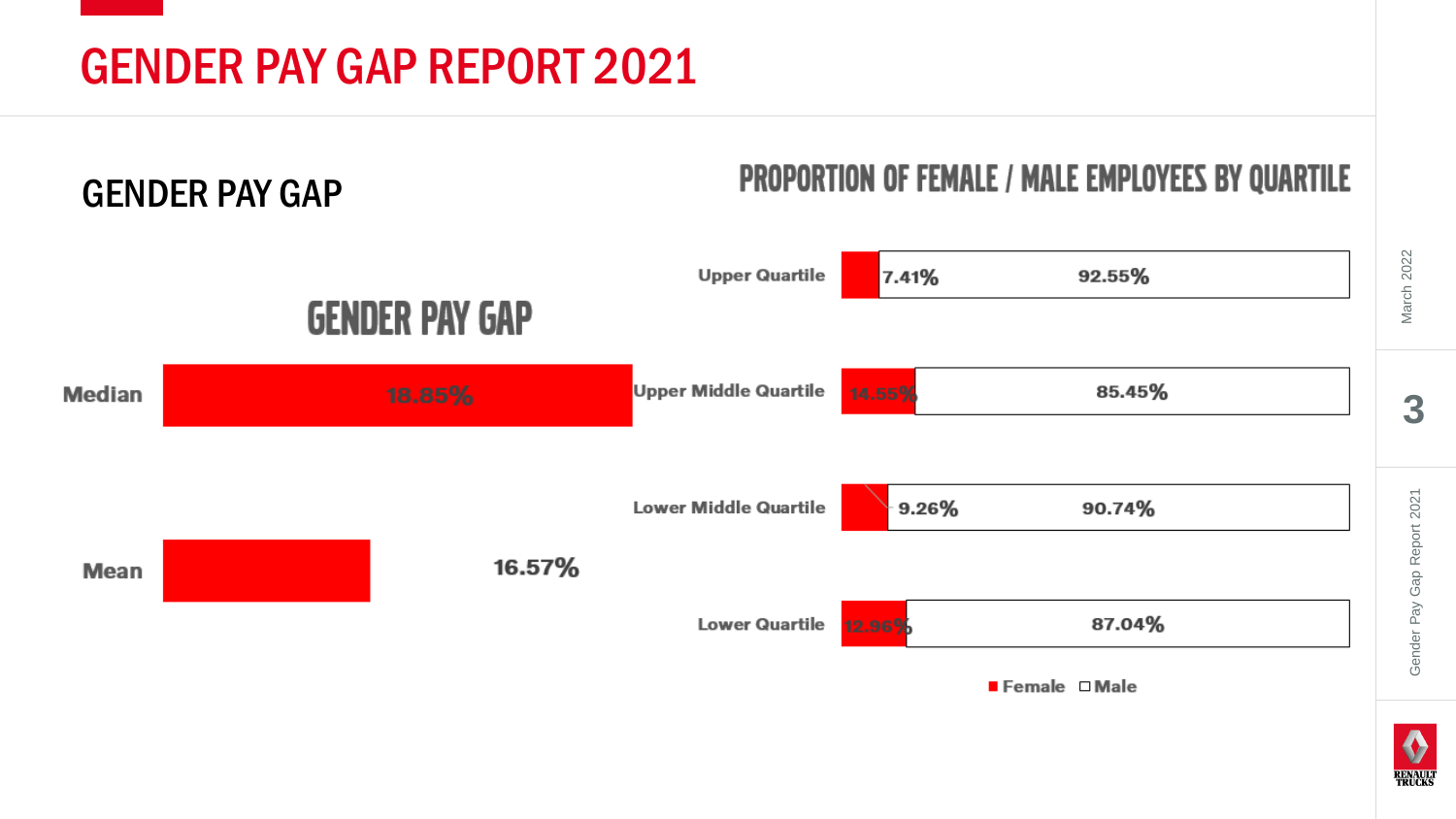GENDER PAY GAP REPORT 2021

GENDER PAY GAP







March 2022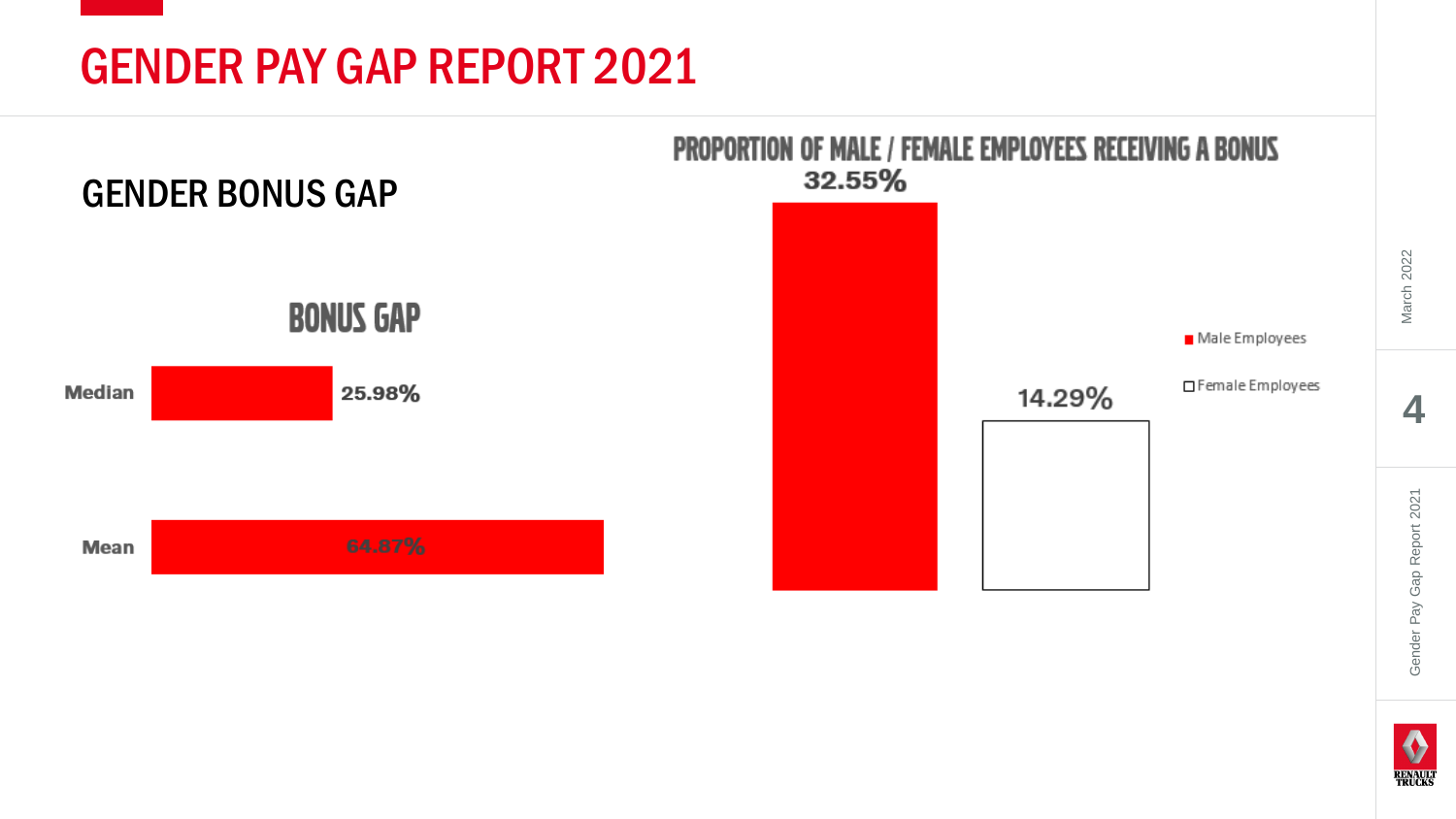### GENDER PAY GAP REPORT 2021



March 2022

 $\overline{\mathbf{4}}$ 

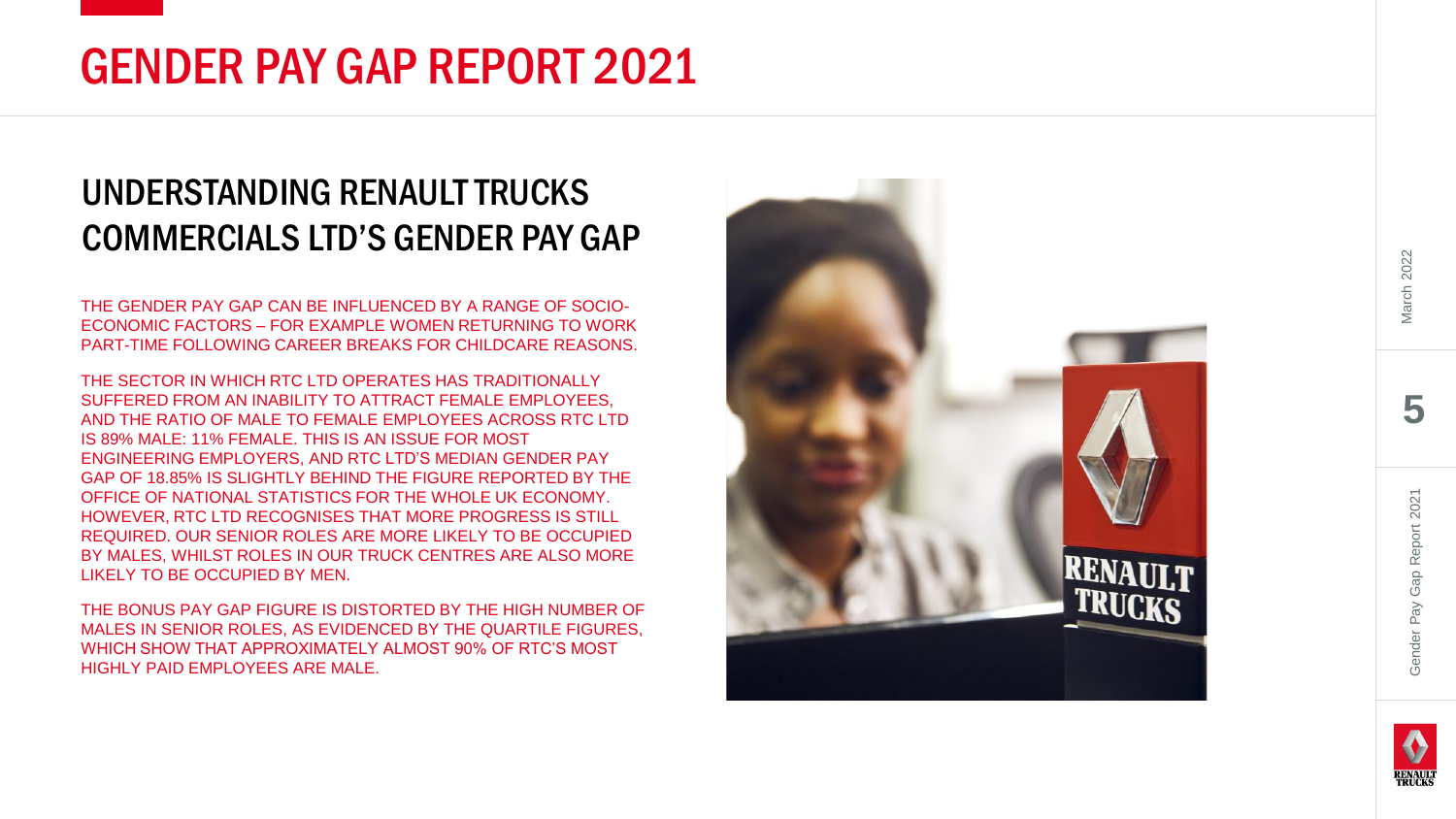### March 2022



#### UNDERSTANDING RENAULTTRUCKS COMMERCIALS LTD'S GENDER PAY GAP

THE GENDER PAY GAP CAN BE INFLUENCED BY A RANGE OF SOCIO - ECONOMIC FACTORS – FOR EXAMPLE WOMEN RETURNING TO WORK PART -TIME FOLLOWING CAREER BREAKS FOR CHILDCARE REASONS.

THE SECTOR IN WHICH RTC LTD OPERATES HAS TRADITIONALLY SUFFERED FROM AN INABILITY TO ATTRACT FEMALE EMPLOYEES, AND THE RATIO OF MALE TO FEMALE EMPLOYEES ACROSS RTC LTD IS 89% MALE: 11% FEMALE. THIS IS AN ISSUE FOR MOST ENGINEERING EMPLOYERS, AND RTC LTD'S MEDIAN GENDER PAY GAP OF 18.85% IS SLIGHTLY BEHIND THE FIGURE REPORTED BY THE OFFICE OF NATIONAL STATISTICS FOR THE WHOLE UK ECONOMY. HOWEVER, RTC LTD RECOGNISES THAT MORE PROGRESS IS STILL REQUIRED. OUR SENIOR ROLES ARE MORE LIKELY TO BE OCCUPIED BY MALES, WHILST ROLES IN OUR TRUCK CENTRES ARE ALSO MORE LIKELY TO BE OCCUPIED BY MEN.

THE BONUS PAY GAP FIGURE IS DISTORTED BY THE HIGH NUMBER OF MALES IN SENIOR ROLES, AS EVIDENCED BY THE QUARTILE FIGURES, WHICH SHOW THAT APPROXIMATELY ALMOST 90% OF RTC'S MOST HIGHLY PAID EMPLOYEES ARE MALE.



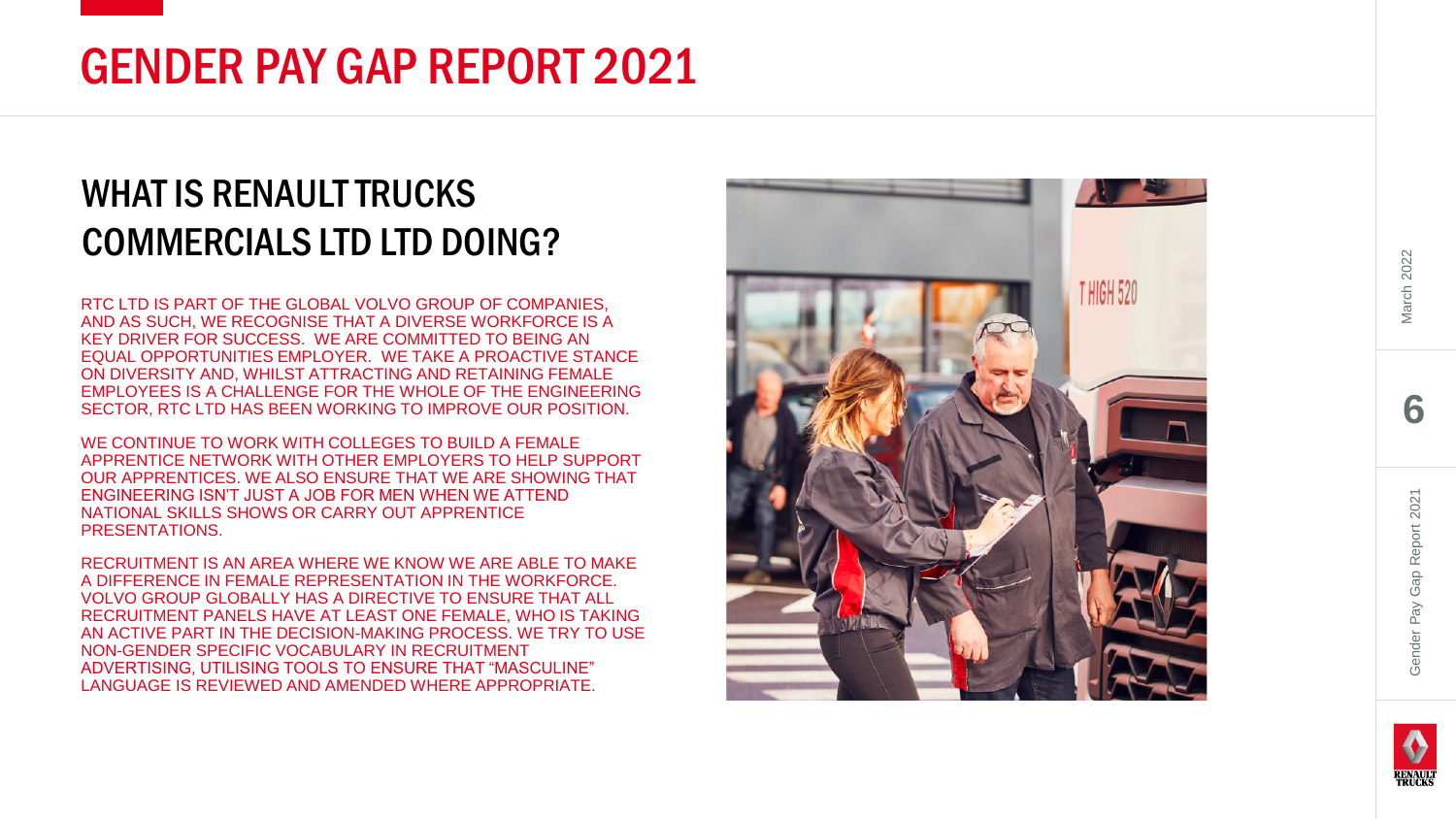6



### WHAT IS RENAULT TRUCKS COMMERCIALS LTD LTD DOING?

RTC LTD IS PART OF THE GLOBAL VOLVO GROUP OF COMPANIES, AND AS SUCH, WE RECOGNISE THAT A DIVERSE WORKFORCE IS A KEY DRIVER FOR SUCCESS. WE ARE COMMITTED TO BEING AN EQUAL OPPORTUNITIES EMPLOYER. WE TAKE A PROACTIVE STANCE ON DIVERSITY AND, WHILST ATTRACTING AND RETAINING FEMALE EMPLOYEES IS A CHALLENGE FOR THE WHOLE OF THE ENGINEERING SECTOR, RTC LTD HAS BEEN WORKING TO IMPROVE OUR POSITION.

WE CONTINUE TO WORK WITH COLLEGES TO BUILD A FEMALE APPRENTICE NETWORK WITH OTHER EMPLOYERS TO HELP SUPPORT OUR APPRENTICES. WE ALSO ENSURE THAT WE ARE SHOWING THAT ENGINEERING ISN'T JUST A JOB FOR MEN WHEN WE ATTEND NATIONAL SKILLS SHOWS OR CARRY OUT APPRENTICE **PRESENTATIONS** 

RECRUITMENT IS AN AREA WHERE WE KNOW WE ARE ABLE TO MAKE A DIFFERENCE IN FEMALE REPRESENTATION IN THE WORKFORCE. VOLVO GROUP GLOBALLY HAS A DIRECTIVE TO ENSURE THAT ALL RECRUITMENT PANELS HAVE AT LEAST ONE FEMALE, WHO IS TAKING AN ACTIVE PART IN THE DECISION -MAKING PROCESS. WE TRY TO USE NON -GENDER SPECIFIC VOCABULARY IN RECRUITMENT ADVERTISING, UTILISING TOOLS TO ENSURE THAT "MASCULINE" LANGUAGE IS REVIEWED AND AMENDED WHERE APPROPRIATE.



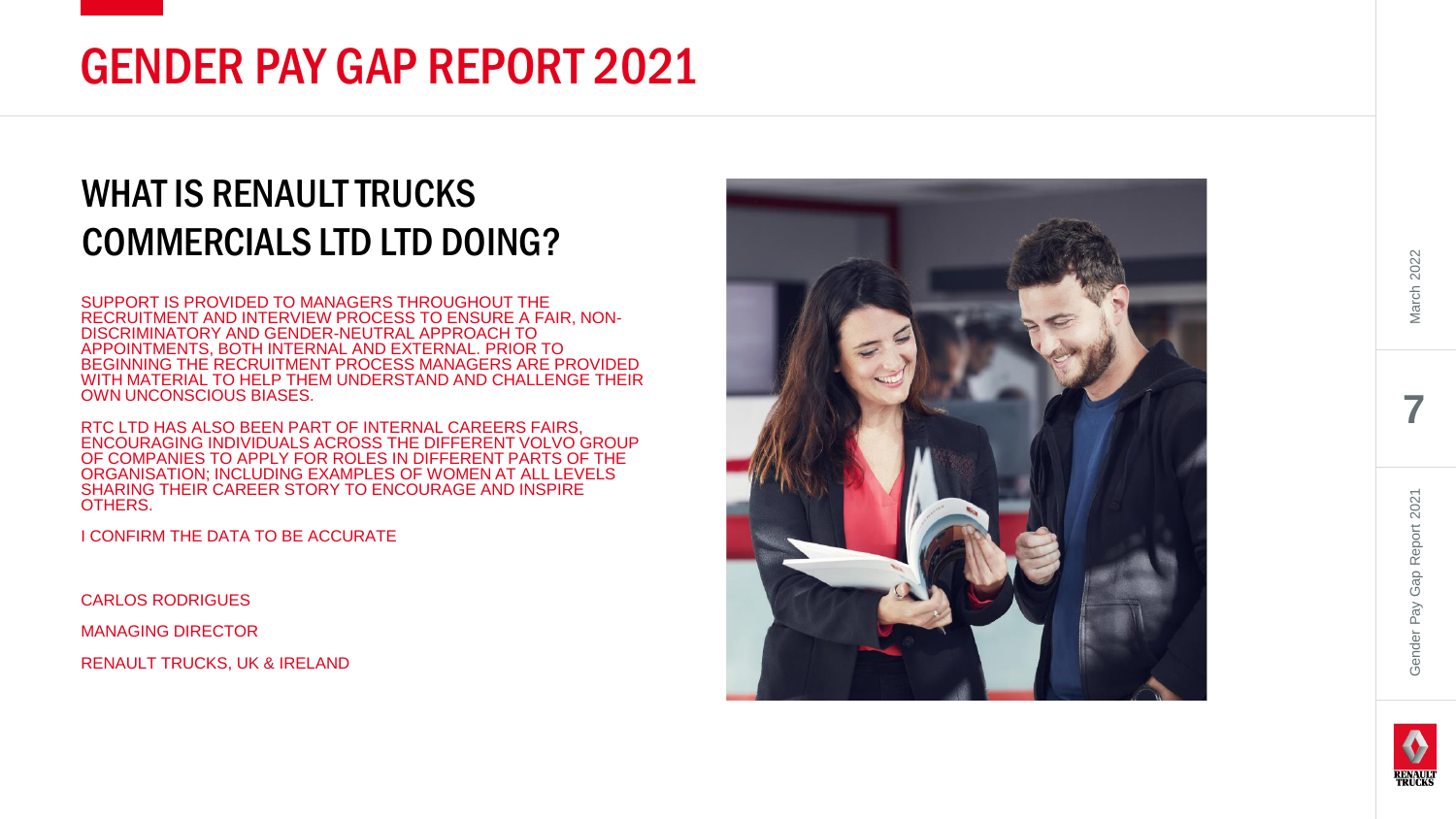

### WHAT IS RENAULT TRUCKS COMMERCIALS LTD LTD DOING?

SUPPORT IS PROVIDED TO MANAGERS THROUGHOUT THE RECRUITMENT AND INTERVIEW PROCESS TO ENSURE A FAIR, NON - DISCRIMINATORY AND GENDER-NEUTRAL APPROACH TO<br>APPOINTMENTS, BOTH INTERNAL AND EXTERNAL. PRIOR TO BEGINNING THE RECRUITMENT PROCESS MANAGERS ARE PROVIDED WITH MATERIAL TO HELP THEM UNDERSTAND AND CHALLENGE THEIR OWN UNCONSCIOUS BIASES.

RTC LTD HAS ALSO BEEN PART OF INTERNAL CAREERS FAIRS, ENCOURAGING INDIVIDUALS ACROSS THE DIFFERENT VOLVO GROUP OF COMPANIES TO APPLY FOR ROLES IN DIFFERENT PARTS OF THE ORGANISATION; INCLUDING EXAMPLES OF WOMEN AT ALL LEVELS SHARING THEIR CAREER STORY TO ENCOURAGE AND INSPIRE OTHERS.

I CONFIRM THE DATA TO BE ACCURATE

CARLOS RODRIGUES

MANAGING DIRECTOR

RENAULT TRUCKS, UK & IRELAND